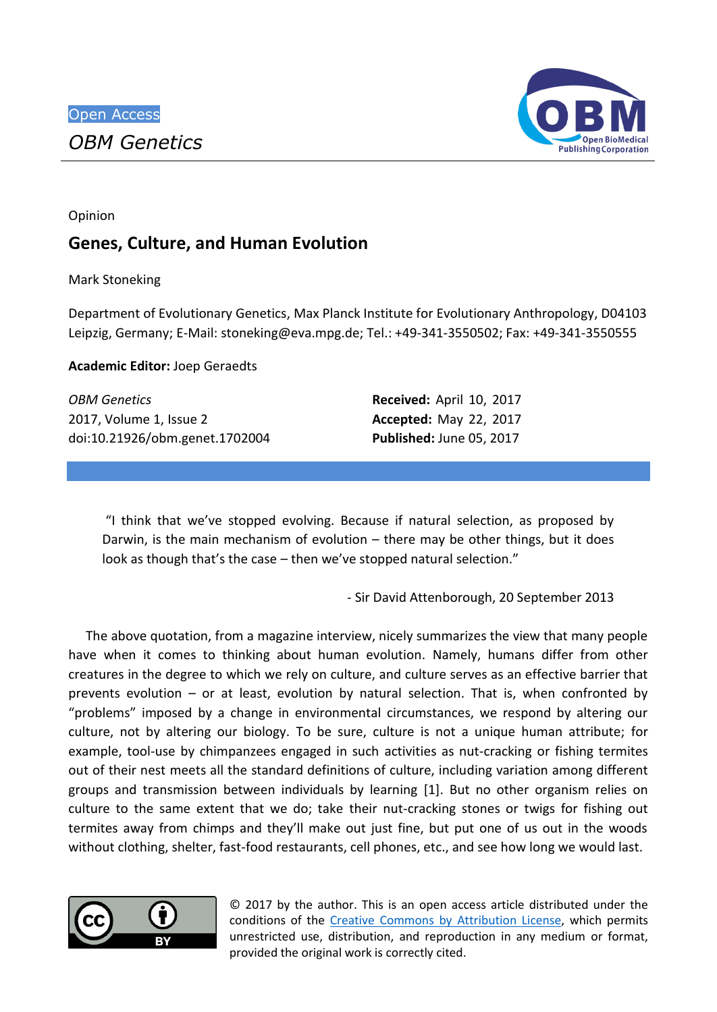

Opinion

## **Genes, Culture, and Human Evolution**

Mark Stoneking

Department of Evolutionary Genetics, Max Planck Institute for Evolutionary Anthropology, D04103 Leipzig, Germany; E-Mail: stoneking@eva.mpg.de; Tel.: +49-341-3550502; Fax: +49-341-3550555

**Academic Editor:** Joep Geraedts

| <b>OBM Genetics</b>            | Received: April 10, 2017        |  |
|--------------------------------|---------------------------------|--|
| 2017, Volume 1, Issue 2        | <b>Accepted: May 22, 2017</b>   |  |
| doi:10.21926/obm.genet.1702004 | <b>Published: June 05, 2017</b> |  |

"I think that we've stopped evolving. Because if natural selection, as proposed by Darwin, is the main mechanism of evolution – there may be other things, but it does look as though that's the case – then we've stopped natural selection."

- Sir David Attenborough, 20 September 2013

The above quotation, from a magazine interview, nicely summarizes the view that many people have when it comes to thinking about human evolution. Namely, humans differ from other creatures in the degree to which we rely on culture, and culture serves as an effective barrier that prevents evolution – or at least, evolution by natural selection. That is, when confronted by "problems" imposed by a change in environmental circumstances, we respond by altering our culture, not by altering our biology. To be sure, culture is not a unique human attribute; for example, tool-use by chimpanzees engaged in such activities as nut-cracking or fishing termites out of their nest meets all the standard definitions of culture, including variation among different groups and transmission between individuals by learning [1]. But no other organism relies on culture to the same extent that we do; take their nut-cracking stones or twigs for fishing out termites away from chimps and they'll make out just fine, but put one of us out in the woods without clothing, shelter, fast-food restaurants, cell phones, etc., and see how long we would last.



© 2017 by the author. This is an open access article distributed under the conditions of the [Creative Commons by Attribution License,](http://creativecommons.org/licenses/by/4.0/) which permits unrestricted use, distribution, and reproduction in any medium or format, provided the original work is correctly cited.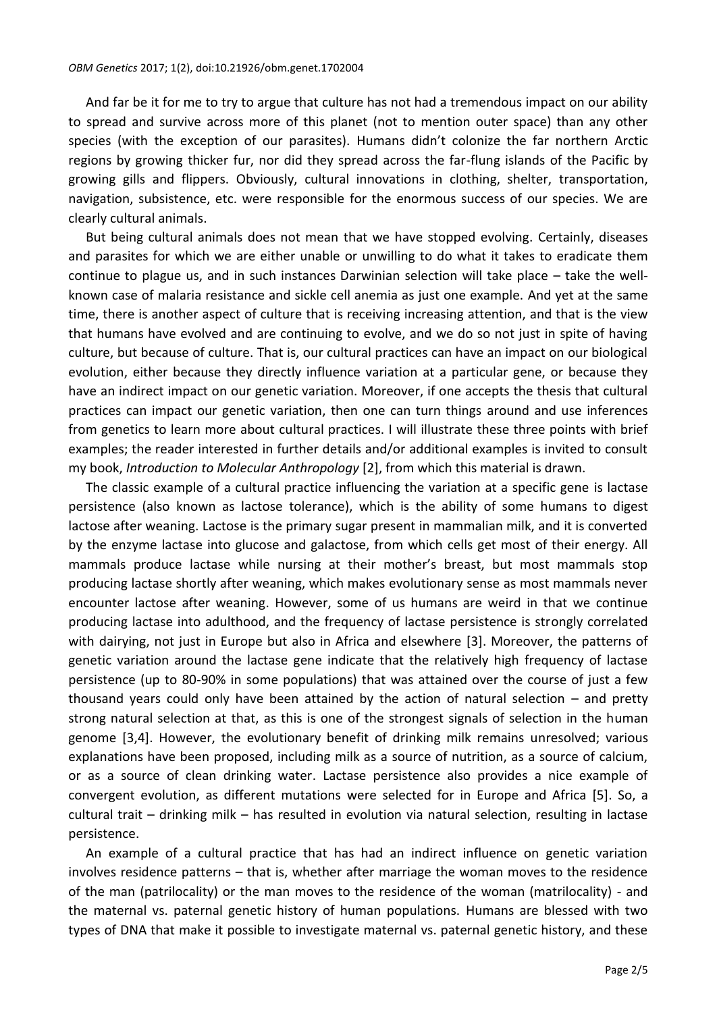And far be it for me to try to argue that culture has not had a tremendous impact on our ability to spread and survive across more of this planet (not to mention outer space) than any other species (with the exception of our parasites). Humans didn't colonize the far northern Arctic regions by growing thicker fur, nor did they spread across the far-flung islands of the Pacific by growing gills and flippers. Obviously, cultural innovations in clothing, shelter, transportation, navigation, subsistence, etc. were responsible for the enormous success of our species. We are clearly cultural animals.

But being cultural animals does not mean that we have stopped evolving. Certainly, diseases and parasites for which we are either unable or unwilling to do what it takes to eradicate them continue to plague us, and in such instances Darwinian selection will take place – take the wellknown case of malaria resistance and sickle cell anemia as just one example. And yet at the same time, there is another aspect of culture that is receiving increasing attention, and that is the view that humans have evolved and are continuing to evolve, and we do so not just in spite of having culture, but because of culture. That is, our cultural practices can have an impact on our biological evolution, either because they directly influence variation at a particular gene, or because they have an indirect impact on our genetic variation. Moreover, if one accepts the thesis that cultural practices can impact our genetic variation, then one can turn things around and use inferences from genetics to learn more about cultural practices. I will illustrate these three points with brief examples; the reader interested in further details and/or additional examples is invited to consult my book, *Introduction to Molecular Anthropology* [2], from which this material is drawn.

The classic example of a cultural practice influencing the variation at a specific gene is lactase persistence (also known as lactose tolerance), which is the ability of some humans to digest lactose after weaning. Lactose is the primary sugar present in mammalian milk, and it is converted by the enzyme lactase into glucose and galactose, from which cells get most of their energy. All mammals produce lactase while nursing at their mother's breast, but most mammals stop producing lactase shortly after weaning, which makes evolutionary sense as most mammals never encounter lactose after weaning. However, some of us humans are weird in that we continue producing lactase into adulthood, and the frequency of lactase persistence is strongly correlated with dairying, not just in Europe but also in Africa and elsewhere [3]. Moreover, the patterns of genetic variation around the lactase gene indicate that the relatively high frequency of lactase persistence (up to 80-90% in some populations) that was attained over the course of just a few thousand years could only have been attained by the action of natural selection – and pretty strong natural selection at that, as this is one of the strongest signals of selection in the human genome [3,4]. However, the evolutionary benefit of drinking milk remains unresolved; various explanations have been proposed, including milk as a source of nutrition, as a source of calcium, or as a source of clean drinking water. Lactase persistence also provides a nice example of convergent evolution, as different mutations were selected for in Europe and Africa [5]. So, a cultural trait – drinking milk – has resulted in evolution via natural selection, resulting in lactase persistence.

An example of a cultural practice that has had an indirect influence on genetic variation involves residence patterns – that is, whether after marriage the woman moves to the residence of the man (patrilocality) or the man moves to the residence of the woman (matrilocality) - and the maternal vs. paternal genetic history of human populations. Humans are blessed with two types of DNA that make it possible to investigate maternal vs. paternal genetic history, and these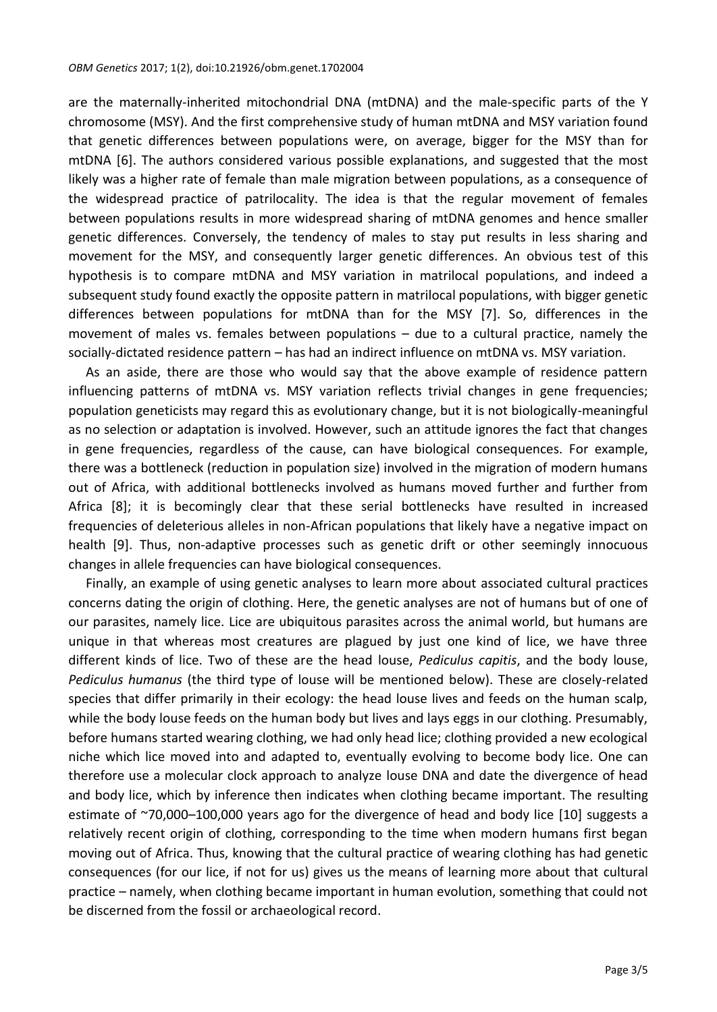are the maternally-inherited mitochondrial DNA (mtDNA) and the male-specific parts of the Y chromosome (MSY). And the first comprehensive study of human mtDNA and MSY variation found that genetic differences between populations were, on average, bigger for the MSY than for mtDNA [6]. The authors considered various possible explanations, and suggested that the most likely was a higher rate of female than male migration between populations, as a consequence of the widespread practice of patrilocality. The idea is that the regular movement of females between populations results in more widespread sharing of mtDNA genomes and hence smaller genetic differences. Conversely, the tendency of males to stay put results in less sharing and movement for the MSY, and consequently larger genetic differences. An obvious test of this hypothesis is to compare mtDNA and MSY variation in matrilocal populations, and indeed a subsequent study found exactly the opposite pattern in matrilocal populations, with bigger genetic differences between populations for mtDNA than for the MSY [7]. So, differences in the movement of males vs. females between populations – due to a cultural practice, namely the socially-dictated residence pattern – has had an indirect influence on mtDNA vs. MSY variation.

As an aside, there are those who would say that the above example of residence pattern influencing patterns of mtDNA vs. MSY variation reflects trivial changes in gene frequencies; population geneticists may regard this as evolutionary change, but it is not biologically-meaningful as no selection or adaptation is involved. However, such an attitude ignores the fact that changes in gene frequencies, regardless of the cause, can have biological consequences. For example, there was a bottleneck (reduction in population size) involved in the migration of modern humans out of Africa, with additional bottlenecks involved as humans moved further and further from Africa [8]; it is becomingly clear that these serial bottlenecks have resulted in increased frequencies of deleterious alleles in non-African populations that likely have a negative impact on health [9]. Thus, non-adaptive processes such as genetic drift or other seemingly innocuous changes in allele frequencies can have biological consequences.

Finally, an example of using genetic analyses to learn more about associated cultural practices concerns dating the origin of clothing. Here, the genetic analyses are not of humans but of one of our parasites, namely lice. Lice are ubiquitous parasites across the animal world, but humans are unique in that whereas most creatures are plagued by just one kind of lice, we have three different kinds of lice. Two of these are the head louse, *Pediculus capitis*, and the body louse, *Pediculus humanus* (the third type of louse will be mentioned below). These are closely-related species that differ primarily in their ecology: the head louse lives and feeds on the human scalp, while the body louse feeds on the human body but lives and lays eggs in our clothing. Presumably, before humans started wearing clothing, we had only head lice; clothing provided a new ecological niche which lice moved into and adapted to, eventually evolving to become body lice. One can therefore use a molecular clock approach to analyze louse DNA and date the divergence of head and body lice, which by inference then indicates when clothing became important. The resulting estimate of ~70,000-100,000 years ago for the divergence of head and body lice [10] suggests a relatively recent origin of clothing, corresponding to the time when modern humans first began moving out of Africa. Thus, knowing that the cultural practice of wearing clothing has had genetic consequences (for our lice, if not for us) gives us the means of learning more about that cultural practice – namely, when clothing became important in human evolution, something that could not be discerned from the fossil or archaeological record.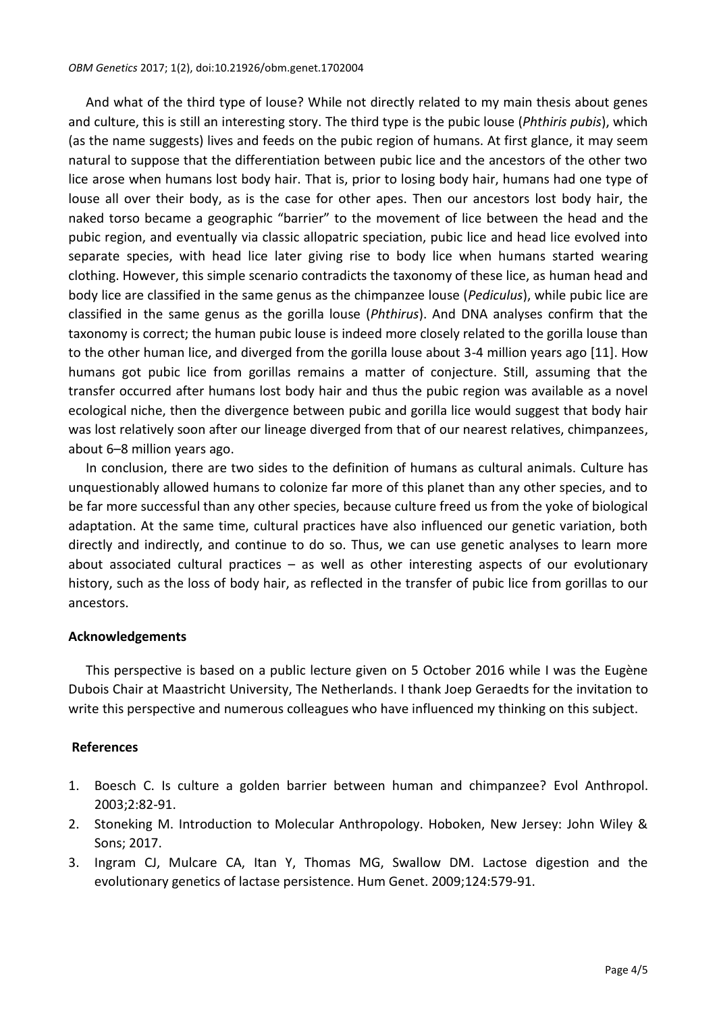## *OBM Genetics* 2017; 1(2), doi:10.21926/obm.genet.1702004

And what of the third type of louse? While not directly related to my main thesis about genes and culture, this is still an interesting story. The third type is the pubic louse (*Phthiris pubis*), which (as the name suggests) lives and feeds on the pubic region of humans. At first glance, it may seem natural to suppose that the differentiation between pubic lice and the ancestors of the other two lice arose when humans lost body hair. That is, prior to losing body hair, humans had one type of louse all over their body, as is the case for other apes. Then our ancestors lost body hair, the naked torso became a geographic "barrier" to the movement of lice between the head and the pubic region, and eventually via classic allopatric speciation, pubic lice and head lice evolved into separate species, with head lice later giving rise to body lice when humans started wearing clothing. However, this simple scenario contradicts the taxonomy of these lice, as human head and body lice are classified in the same genus as the chimpanzee louse (*Pediculus*), while pubic lice are classified in the same genus as the gorilla louse (*Phthirus*). And DNA analyses confirm that the taxonomy is correct; the human pubic louse is indeed more closely related to the gorilla louse than to the other human lice, and diverged from the gorilla louse about 3-4 million years ago [11]. How humans got pubic lice from gorillas remains a matter of conjecture. Still, assuming that the transfer occurred after humans lost body hair and thus the pubic region was available as a novel ecological niche, then the divergence between pubic and gorilla lice would suggest that body hair was lost relatively soon after our lineage diverged from that of our nearest relatives, chimpanzees, about 6–8 million years ago.

In conclusion, there are two sides to the definition of humans as cultural animals. Culture has unquestionably allowed humans to colonize far more of this planet than any other species, and to be far more successful than any other species, because culture freed us from the yoke of biological adaptation. At the same time, cultural practices have also influenced our genetic variation, both directly and indirectly, and continue to do so. Thus, we can use genetic analyses to learn more about associated cultural practices – as well as other interesting aspects of our evolutionary history, such as the loss of body hair, as reflected in the transfer of pubic lice from gorillas to our ancestors.

## **Acknowledgements**

This perspective is based on a public lecture given on 5 October 2016 while I was the Eugène Dubois Chair at Maastricht University, The Netherlands. I thank Joep Geraedts for the invitation to write this perspective and numerous colleagues who have influenced my thinking on this subject.

## **References**

- 1. Boesch C. Is culture a golden barrier between human and chimpanzee? Evol Anthropol. 2003;2:82-91.
- 2. Stoneking M. Introduction to Molecular Anthropology. Hoboken, New Jersey: John Wiley & Sons; 2017.
- 3. Ingram CJ, Mulcare CA, Itan Y, Thomas MG, Swallow DM. Lactose digestion and the evolutionary genetics of lactase persistence. Hum Genet. 2009;124:579-91.